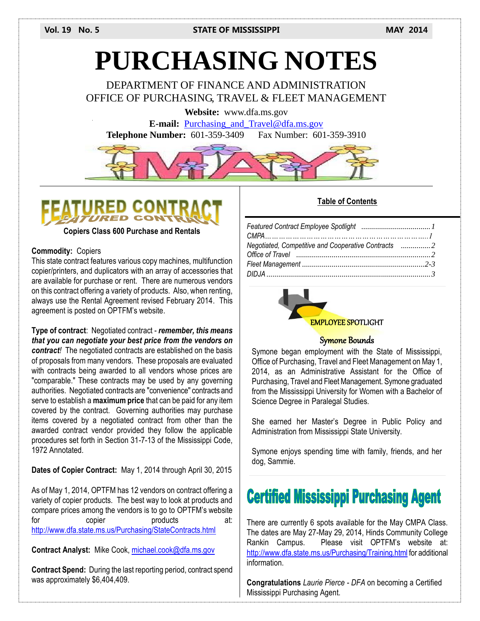# **PURCHASING NOTES**

DEPARTMENT OF FINANCE AND ADMINISTRATION OFFICE OF PURCHASING, TRAVEL & FLEET MANAGEMENT

**Website:** www.dfa.ms.gov

**E-mail:** [Purchasing\\_and\\_Travel@dfa.ms.gov](mailto:Purchasing_and_Travel@dfa.ms.gov) **Telephone Number:** 601-359-3409 Fax Number: 601-359-3910





**Copiers Class 600 Purchase and Rentals**

#### **Commodity:** Copiers

This state contract features various copy machines, multifunction copier/printers, and duplicators with an array of accessories that are available for purchase or rent. There are numerous vendors on this contract offering a variety of products. Also, when renting, always use the Rental Agreement revised February 2014. This agreement is posted on OPTFM's website.

**Type of contract**: Negotiated contract - *remember, this means that you can negotiate your best price from the vendors on contract!* The negotiated contracts are established on the basis of proposals from many vendors. These proposals are evaluated with contracts being awarded to all vendors whose prices are "comparable." These contracts may be used by any governing authorities. Negotiated contracts are "convenience" contracts and serve to establish a **maximum price** that can be paid for any item covered by the contract. Governing authorities may purchase items covered by a negotiated contract from other than the awarded contract vendor provided they follow the applicable procedures set forth in Section 31-7-13 of the Mississippi Code, 1972 Annotated.

**Dates of Copier Contract:** May 1, 2014 through April 30, 2015

As of May 1, 2014, OPTFM has 12 vendors on contract offering a variety of copier products. The best way to look at products and compare prices among the vendors is to go to OPTFM's website for copier products at: <http://www.dfa.state.ms.us/Purchasing/StateContracts.html>

**Contract Analyst:** Mike Cook, [michael.cook@dfa.ms.gov](mailto:michael.cook@dfa.ms.gov)

**Contract Spend:** During the last reporting period, contract spend was approximately \$6,404,409.

## **Table of Contents**



#### EMPLOYEE SPOTLIGHT

#### Symone Bounds

Symone began employment with the State of Mississippi, Office of Purchasing, Travel and Fleet Management on May 1, 2014, as an Administrative Assistant for the Office of Purchasing, Travel and Fleet Management. Symone graduated from the Mississippi University for Women with a Bachelor of Science Degree in Paralegal Studies.

 Administration from Mississippi State University. She earned her Master's Degree in Public Policy and

Symone enjoys spending time with family, friends, and her dog, Sammie.

# **Certified Mississippi Purchasing Agent**

There are currently 6 spots available for the May CMPA Class. The dates are May 27-May 29, 2014, Hinds Community College Rankin Campus. Please visit OPTFM's website at: <http://www.dfa.state.ms.us/Purchasing/Training.html> for additional information.

**Congratulations** *Laurie Pierce - DFA* on becoming a Certified Mississippi Purchasing Agent.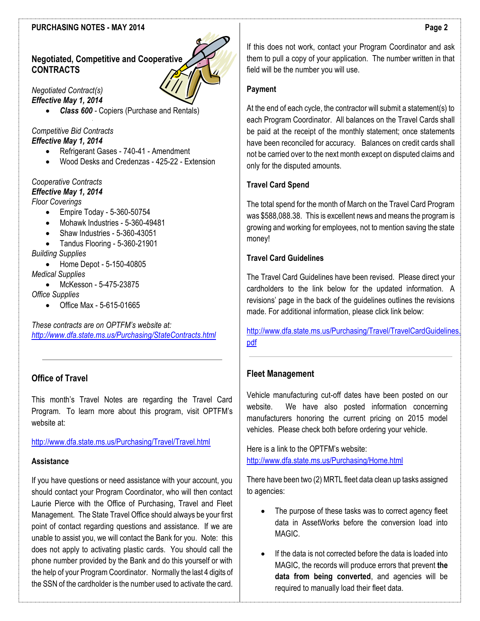#### **PURCHASING NOTES - MAY 2014**

# **Negotiated, Competitive and Cooperative CONTRACTS**

*Negotiated Contract(s) Effective May 1, 2014*

*Class 600 -* Copiers (Purchase and Rentals)

#### *Competitive Bid Contracts Effective May 1, 2014*

- Refrigerant Gases 740-41 Amendment
- Wood Desks and Credenzas 425-22 Extension

# *Cooperative Contracts*

*Effective May 1, 2014*

- *Floor Coverings*
	- Empire Today 5-360-50754
	- Mohawk Industries 5-360-49481
	- Shaw Industries 5-360-43051
	- Tandus Flooring 5-360-21901

*Building Supplies*

- Home Depot 5-150-40805 *Medical Supplies*
- McKesson 5-475-23875
- *Office Supplies*
	- Office Max 5-615-01665

*These contracts are on OPTFM's website at: <http://www.dfa.state.ms.us/Purchasing/StateContracts.html>*

# **Office of Travel**

This month's Travel Notes are regarding the Travel Card Program. To learn more about this program, visit OPTFM's website at:

#### <http://www.dfa.state.ms.us/Purchasing/Travel/Travel.html>

#### **Assistance**

If you have questions or need assistance with your account, you should contact your Program Coordinator, who will then contact Laurie Pierce with the Office of Purchasing, Travel and Fleet Management. The State Travel Office should always be your first point of contact regarding questions and assistance. If we are unable to assist you, we will contact the Bank for you. Note: this does not apply to activating plastic cards. You should call the phone number provided by the Bank and do this yourself or with the help of your Program Coordinator. Normally the last 4 digits of the SSN of the cardholder is the number used to activate the card.

If this does not work, contact your Program Coordinator and ask them to pull a copy of your application. The number written in that field will be the number you will use.

#### **Payment**

At the end of each cycle, the contractor will submit a statement(s) to each Program Coordinator. All balances on the Travel Cards shall be paid at the receipt of the monthly statement; once statements have been reconciled for accuracy. Balances on credit cards shall not be carried over to the next month except on disputed claims and only for the disputed amounts.

#### **Travel Card Spend**

The total spend for the month of March on the Travel Card Program was \$588,088.38. This is excellent news and means the program is growing and working for employees, not to mention saving the state money!

#### **Travel Card Guidelines**

The Travel Card Guidelines have been revised. Please direct your cardholders to the link below for the updated information. A revisions' page in the back of the guidelines outlines the revisions made. For additional information, please click link below:

[http://www.dfa.state.ms.us/Purchasing/Travel/TravelCardGuidelines.](http://www.dfa.state.ms.us/Purchasing/Travel/TravelCardGuidelines.pdf) [pdf](http://www.dfa.state.ms.us/Purchasing/Travel/TravelCardGuidelines.pdf)

## **Fleet Management**

Vehicle manufacturing cut-off dates have been posted on our website. We have also posted information concerning manufacturers honoring the current pricing on 2015 model vehicles. Please check both before ordering your vehicle.

Here is a link to the OPTFM's website: <http://www.dfa.state.ms.us/Purchasing/Home.html>

There have been two (2) MRTL fleet data clean up tasks assigned to agencies:

- The purpose of these tasks was to correct agency fleet data in AssetWorks before the conversion load into MAGIC.
- If the data is not corrected before the data is loaded into MAGIC, the records will produce errors that prevent **the data from being converted**, and agencies will be required to manually load their fleet data.